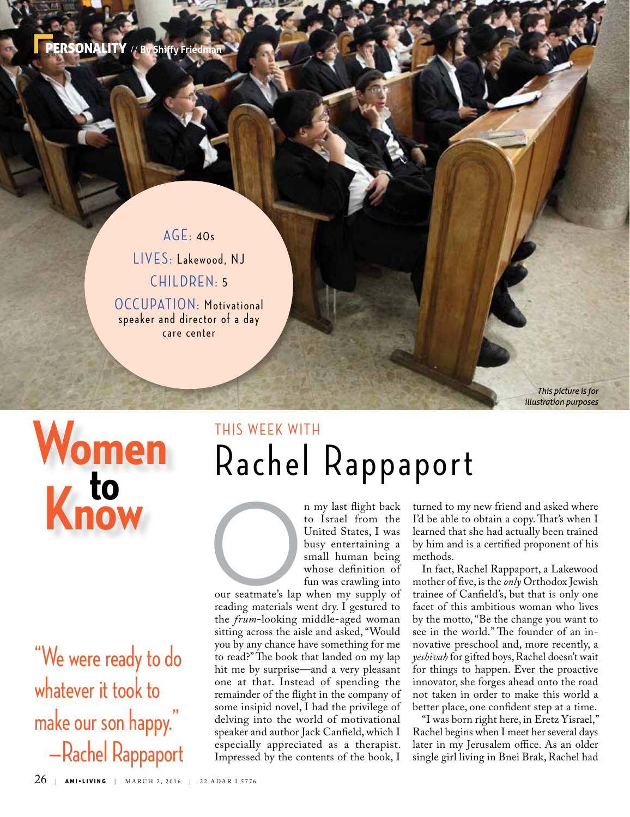PERSONALITY // **By Shiffy Friedman**

#### AGE: 40s LIVES: Lakewood, NJ CHILDREN: 5

OCCUPATION: Motivational speaker and director of a day care center

# **Women K** to

"We were ready to do whatever it took to make our son happy." —Rachel Rappaport

### Rachel Rappaport THIS WEEK WITH

n my last flight back<br>to Israel from the<br>United States, I was<br>busy entertaining a<br>small human being<br>whose definition of<br>fun was crawling into<br>our seatmate's lap when my supply of<br>reading materials went dry I gestured to to Israel from the United States, I was busy entertaining a small human being whose definition of fun was crawling into

our seatmate's lap when my supply of reading materials went dry. I gestured to the *frum*-looking middle-aged woman sitting across the aisle and asked, "Would you by any chance have something for me to read?" The book that landed on my lap hit me by surprise—and a very pleasant one at that. Instead of spending the remainder of the flight in the company of some insipid novel, I had the privilege of delving into the world of motivational speaker and author Jack Canfield, which I especially appreciated as a therapist. Impressed by the contents of the book, I

turned to my new friend and asked where I'd be able to obtain a copy. That's when I learned that she had actually been trained by him and is a certified proponent of his methods.

*This picture is for illustration purposes*

In fact, Rachel Rappaport, a Lakewood mother of five, is the *only* Orthodox Jewish trainee of Canfield's, but that is only one facet of this ambitious woman who lives by the motto, "Be the change you want to see in the world." The founder of an innovative preschool and, more recently, a *yeshivah* for gifted boys, Rachel doesn't wait for things to happen. Ever the proactive innovator, she forges ahead onto the road not taken in order to make this world a better place, one confident step at a time.

"I was born right here, in Eretz Yisrael," Rachel begins when I meet her several days later in my Jerusalem office. As an older single girl living in Bnei Brak, Rachel had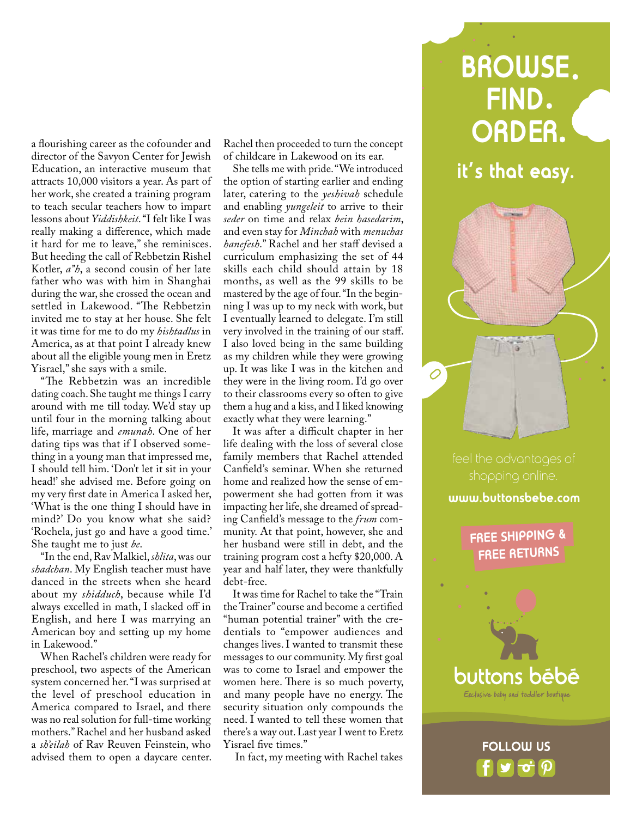a flourishing career as the cofounder and director of the Savyon Center for Jewish Education, an interactive museum that attracts 10,000 visitors a year. As part of her work, she created a training program to teach secular teachers how to impart lessons about *Yiddishkeit*. "I felt like I was really making a difference, which made it hard for me to leave," she reminisces. But heeding the call of Rebbetzin Rishel Kotler, *a"h*, a second cousin of her late father who was with him in Shanghai during the war, she crossed the ocean and settled in Lakewood. "The Rebbetzin invited me to stay at her house. She felt it was time for me to do my *hishtadlus* in America, as at that point I already knew about all the eligible young men in Eretz Yisrael," she says with a smile.

"The Rebbetzin was an incredible dating coach. She taught me things I carry around with me till today. We'd stay up until four in the morning talking about life, marriage and *emunah*. One of her dating tips was that if I observed something in a young man that impressed me, I should tell him. 'Don't let it sit in your head!' she advised me. Before going on my very first date in America I asked her, 'What is the one thing I should have in mind?' Do you know what she said? 'Rochela, just go and have a good time.' She taught me to just *be*.

"In the end, Rav Malkiel, *shlita*, was our *shadchan*. My English teacher must have danced in the streets when she heard about my *shidduch*, because while I'd always excelled in math, I slacked off in English, and here I was marrying an American boy and setting up my home in Lakewood."

When Rachel's children were ready for preschool, two aspects of the American system concerned her. "I was surprised at the level of preschool education in America compared to Israel, and there was no real solution for full-time working mothers." Rachel and her husband asked a *sh'eilah* of Rav Reuven Feinstein, who advised them to open a daycare center.

Rachel then proceeded to turn the concept of childcare in Lakewood on its ear.

She tells me with pride. "We introduced the option of starting earlier and ending later, catering to the *yeshivah* schedule and enabling *yungeleit* to arrive to their *seder* on time and relax *bein hasedarim*, and even stay for *Minchah* with *menuchas hanefesh*." Rachel and her staff devised a curriculum emphasizing the set of 44 skills each child should attain by 18 months, as well as the 99 skills to be mastered by the age of four. "In the beginning I was up to my neck with work, but I eventually learned to delegate. I'm still very involved in the training of our staff. I also loved being in the same building as my children while they were growing up. It was like I was in the kitchen and they were in the living room. I'd go over to their classrooms every so often to give them a hug and a kiss, and I liked knowing exactly what they were learning."

It was after a difficult chapter in her life dealing with the loss of several close family members that Rachel attended Canfield's seminar. When she returned home and realized how the sense of empowerment she had gotten from it was impacting her life, she dreamed of spreading Canfield's message to the *frum* community. At that point, however, she and her husband were still in debt, and the training program cost a hefty \$20,000. A year and half later, they were thankfully debt-free.

It was time for Rachel to take the "Train the Trainer" course and become a certified "human potential trainer" with the credentials to "empower audiences and changes lives. I wanted to transmit these messages to our community. My first goal was to come to Israel and empower the women here. There is so much poverty, and many people have no energy. The security situation only compounds the need. I wanted to tell these women that there's a way out. Last year I went to Eretz Yisrael five times."

In fact, my meeting with Rachel takes

## **BROWSE FIND ORDER**

**it's that easy.**

 $\cal O$ 

#### **www.buttonsbebe.com**

**FREE SHIPPING & FREE RETURNS**

buttons bēbē Exclusive baby and toddler boutique

**FOLLOW US**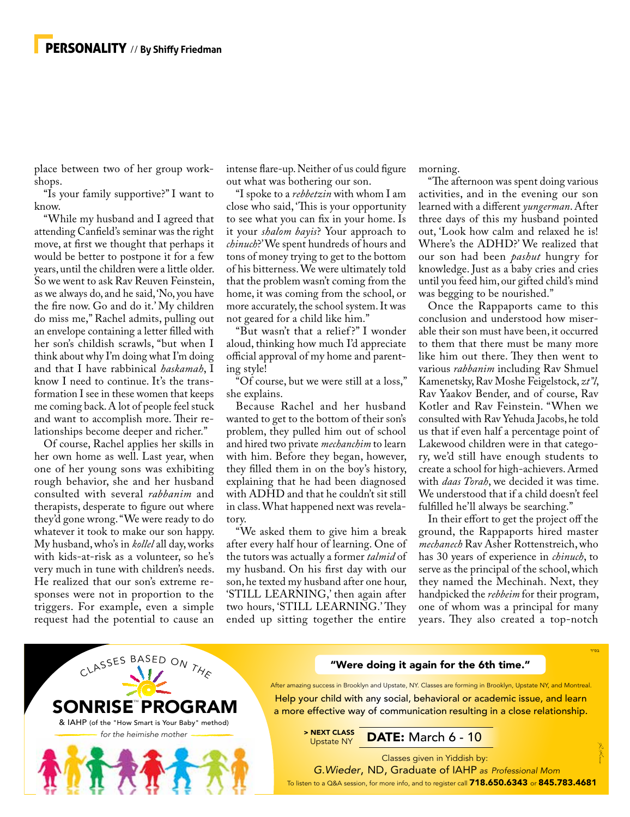place between two of her group workshops.

"Is your family supportive?" I want to know.

"While my husband and I agreed that attending Canfield's seminar was the right move, at first we thought that perhaps it would be better to postpone it for a few years, until the children were a little older. So we went to ask Rav Reuven Feinstein, as we always do, and he said, 'No, you have the fire now. Go and do it.' My children do miss me," Rachel admits, pulling out an envelope containing a letter filled with her son's childish scrawls, "but when I think about why I'm doing what I'm doing and that I have rabbinical *haskamah*, I know I need to continue. It's the transformation I see in these women that keeps me coming back. A lot of people feel stuck and want to accomplish more. Their relationships become deeper and richer."

Of course, Rachel applies her skills in her own home as well. Last year, when one of her young sons was exhibiting rough behavior, she and her husband consulted with several *rabbanim* and therapists, desperate to figure out where they'd gone wrong. "We were ready to do whatever it took to make our son happy. My husband, who's in *kollel* all day, works with kids-at-risk as a volunteer, so he's very much in tune with children's needs. He realized that our son's extreme responses were not in proportion to the triggers. For example, even a simple request had the potential to cause an

intense flare-up. Neither of us could figure out what was bothering our son.

"I spoke to a *rebbetzin* with whom I am close who said, 'This is your opportunity to see what you can fix in your home. Is it your *shalom bayis*? Your approach to *chinuch*?' We spent hundreds of hours and tons of money trying to get to the bottom of his bitterness. We were ultimately told that the problem wasn't coming from the home, it was coming from the school, or more accurately, the school system. It was not geared for a child like him."

"But wasn't that a relief ?" I wonder aloud, thinking how much I'd appreciate official approval of my home and parenting style!

"Of course, but we were still at a loss," she explains.

Because Rachel and her husband wanted to get to the bottom of their son's problem, they pulled him out of school and hired two private *mechanchim* to learn with him. Before they began, however, they filled them in on the boy's history, explaining that he had been diagnosed with ADHD and that he couldn't sit still in class. What happened next was revelatory.

"We asked them to give him a break after every half hour of learning. One of the tutors was actually a former *talmid* of my husband. On his first day with our son, he texted my husband after one hour, 'STILL LEARNING,' then again after two hours, 'STILL LEARNING.' They ended up sitting together the entire

morning.

"The afternoon was spent doing various activities, and in the evening our son learned with a different *yungerman*. After three days of this my husband pointed out, 'Look how calm and relaxed he is! Where's the ADHD?' We realized that our son had been *pashut* hungry for knowledge. Just as a baby cries and cries until you feed him, our gifted child's mind was begging to be nourished."

Once the Rappaports came to this conclusion and understood how miserable their son must have been, it occurred to them that there must be many more like him out there. They then went to various *rabbanim* including Rav Shmuel Kamenetsky, Rav Moshe Feigelstock, *zt"l*, Rav Yaakov Bender, and of course, Rav Kotler and Rav Feinstein. "When we consulted with Rav Yehuda Jacobs, he told us that if even half a percentage point of Lakewood children were in that category, we'd still have enough students to create a school for high-achievers. Armed with *daas Torah*, we decided it was time. We understood that if a child doesn't feel fulfilled he'll always be searching."

In their effort to get the project off the ground, the Rappaports hired master *mechanech* Rav Asher Rottenstreich, who has 30 years of experience in *chinuch*, to serve as the principal of the school, which they named the Mechinah. Next, they handpicked the *rebbeim* for their program, one of whom was a principal for many years. They also created a top-notch